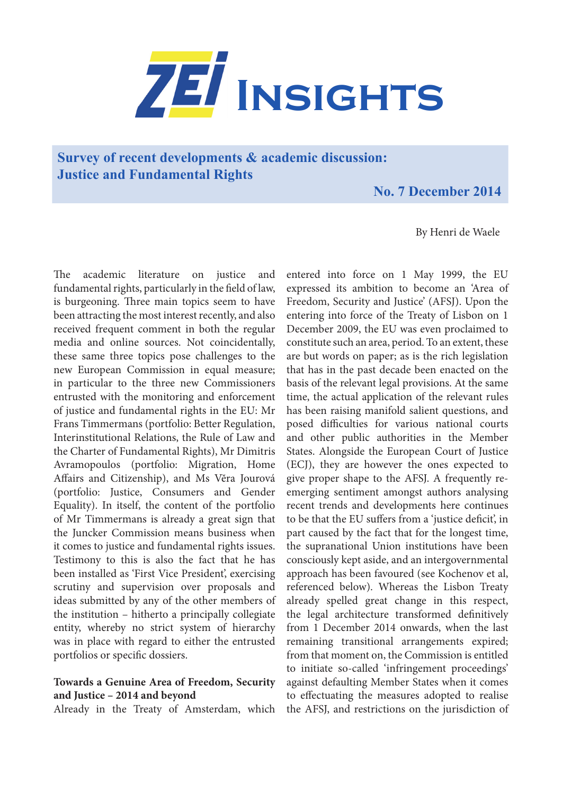

# **Survey of recent developments & academic discussion: Justice and Fundamental Rights**

# **No. 7 December 2014**

By Henri de Waele

The academic literature on justice and fundamental rights, particularly in the field of law, is burgeoning. Three main topics seem to have been attracting the most interest recently, and also received frequent comment in both the regular media and online sources. Not coincidentally, these same three topics pose challenges to the new European Commission in equal measure; in particular to the three new Commissioners entrusted with the monitoring and enforcement of justice and fundamental rights in the EU: Mr Frans Timmermans (portfolio: Better Regulation, Interinstitutional Relations, the Rule of Law and the Charter of Fundamental Rights), Mr Dimitris Avramopoulos (portfolio: Migration, Home Affairs and Citizenship), and Ms Vĕra Jourová (portfolio: Justice, Consumers and Gender Equality). In itself, the content of the portfolio of Mr Timmermans is already a great sign that the Juncker Commission means business when it comes to justice and fundamental rights issues. Testimony to this is also the fact that he has been installed as 'First Vice President', exercising scrutiny and supervision over proposals and ideas submitted by any of the other members of the institution – hitherto a principally collegiate entity, whereby no strict system of hierarchy was in place with regard to either the entrusted portfolios or specific dossiers.

## **Towards a Genuine Area of Freedom, Security and Justice – 2014 and beyond**

Already in the Treaty of Amsterdam, which

entered into force on 1 May 1999, the EU expressed its ambition to become an 'Area of Freedom, Security and Justice' (AFSJ). Upon the entering into force of the Treaty of Lisbon on 1 December 2009, the EU was even proclaimed to constitute such an area, period. To an extent, these are but words on paper; as is the rich legislation that has in the past decade been enacted on the basis of the relevant legal provisions. At the same time, the actual application of the relevant rules has been raising manifold salient questions, and posed difficulties for various national courts and other public authorities in the Member States. Alongside the European Court of Justice (ECJ), they are however the ones expected to give proper shape to the AFSJ. A frequently reemerging sentiment amongst authors analysing recent trends and developments here continues to be that the EU suffers from a 'justice deficit', in part caused by the fact that for the longest time, the supranational Union institutions have been consciously kept aside, and an intergovernmental approach has been favoured (see Kochenov et al, referenced below). Whereas the Lisbon Treaty already spelled great change in this respect, the legal architecture transformed definitively from 1 December 2014 onwards, when the last remaining transitional arrangements expired; from that moment on, the Commission is entitled to initiate so-called 'infringement proceedings' against defaulting Member States when it comes to effectuating the measures adopted to realise the AFSJ, and restrictions on the jurisdiction of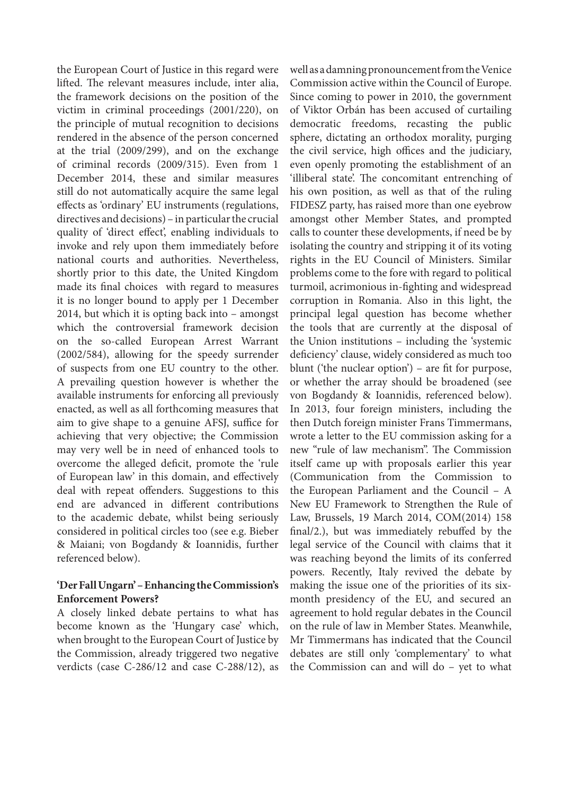the European Court of Justice in this regard were lifted. The relevant measures include, inter alia, the framework decisions on the position of the victim in criminal proceedings (2001/220), on the principle of mutual recognition to decisions rendered in the absence of the person concerned at the trial (2009/299), and on the exchange of criminal records (2009/315). Even from 1 December 2014, these and similar measures still do not automatically acquire the same legal effects as 'ordinary' EU instruments (regulations, directives and decisions) – in particular the crucial quality of 'direct effect', enabling individuals to invoke and rely upon them immediately before national courts and authorities. Nevertheless, shortly prior to this date, the United Kingdom made its final choices with regard to measures it is no longer bound to apply per 1 December 2014, but which it is opting back into – amongst which the controversial framework decision on the so-called European Arrest Warrant (2002/584), allowing for the speedy surrender of suspects from one EU country to the other. A prevailing question however is whether the available instruments for enforcing all previously enacted, as well as all forthcoming measures that aim to give shape to a genuine AFSJ, suffice for achieving that very objective; the Commission may very well be in need of enhanced tools to overcome the alleged deficit, promote the 'rule of European law' in this domain, and effectively deal with repeat offenders. Suggestions to this end are advanced in different contributions to the academic debate, whilst being seriously considered in political circles too (see e.g. Bieber & Maiani; von Bogdandy & Ioannidis, further referenced below).

## **'Der Fall Ungarn' – Enhancing the Commission's Enforcement Powers?**

A closely linked debate pertains to what has become known as the 'Hungary case' which, when brought to the European Court of Justice by the Commission, already triggered two negative verdicts (case C-286/12 and case C-288/12), as

well as a damning pronouncement from the Venice Commission active within the Council of Europe. Since coming to power in 2010, the government of Viktor Orbán has been accused of curtailing democratic freedoms, recasting the public sphere, dictating an orthodox morality, purging the civil service, high offices and the judiciary, even openly promoting the establishment of an 'illiberal state'. The concomitant entrenching of his own position, as well as that of the ruling FIDESZ party, has raised more than one eyebrow amongst other Member States, and prompted calls to counter these developments, if need be by isolating the country and stripping it of its voting rights in the EU Council of Ministers. Similar problems come to the fore with regard to political turmoil, acrimonious in-fighting and widespread corruption in Romania. Also in this light, the principal legal question has become whether the tools that are currently at the disposal of the Union institutions – including the 'systemic deficiency' clause, widely considered as much too blunt ('the nuclear option') – are fit for purpose, or whether the array should be broadened (see von Bogdandy & Ioannidis, referenced below). In 2013, four foreign ministers, including the then Dutch foreign minister Frans Timmermans, wrote a letter to the EU commission asking for a new "rule of law mechanism". The Commission itself came up with proposals earlier this year (Communication from the Commission to the European Parliament and the Council – A New EU Framework to Strengthen the Rule of Law, Brussels, 19 March 2014, COM(2014) 158 final/2.), but was immediately rebuffed by the legal service of the Council with claims that it was reaching beyond the limits of its conferred powers. Recently, Italy revived the debate by making the issue one of the priorities of its sixmonth presidency of the EU, and secured an agreement to hold regular debates in the Council on the rule of law in Member States. Meanwhile, Mr Timmermans has indicated that the Council debates are still only 'complementary' to what the Commission can and will do – yet to what